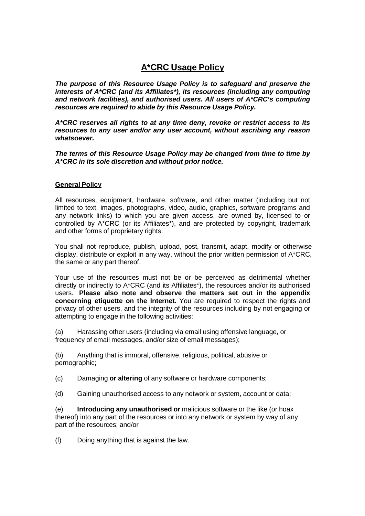# **A\*CRC Usage Policy**

*The purpose of this Resource Usage Policy is to safeguard and preserve the interests of A\*CRC (and its Affiliates\*), its resources (including any computing and network facilities), and authorised users. All users of A\*CRC's computing resources are required to abide by this Resource Usage Policy.*

*A\*CRC reserves all rights to at any time deny, revoke or restrict access to its resources to any user and/or any user account, without ascribing any reason whatsoever.*

*The terms of this Resource Usage Policy may be changed from time to time by A\*CRC in its sole discretion and without prior notice.*

# **General Policy**

All resources, equipment, hardware, software, and other matter (including but not limited to text, images, photographs, video, audio, graphics, software programs and any network links) to which you are given access, are owned by, licensed to or controlled by A\*CRC (or its Affiliates\*), and are protected by copyright, trademark and other forms of proprietary rights.

You shall not reproduce, publish, upload, post, transmit, adapt, modify or otherwise display, distribute or exploit in any way, without the prior written permission of A\*CRC, the same or any part thereof.

Your use of the resources must not be or be perceived as detrimental whether directly or indirectly to A\*CRC (and its Affiliates\*), the resources and/or its authorised users. **Please also note and observe the matters set out in the appendix concerning etiquette on the Internet.** You are required to respect the rights and privacy of other users, and the integrity of the resources including by not engaging or attempting to engage in the following activities:

(a) Harassing other users (including via email using offensive language, or frequency of email messages, and/or size of email messages);

(b) Anything that is immoral, offensive, religious, political, abusive or pornographic;

(c) Damaging **or altering** of any software or hardware components;

(d) Gaining unauthorised access to any network or system, account or data;

(e) **Introducing any unauthorised or** malicious software or the like (or hoax thereof) into any part of the resources or into any network or system by way of any part of the resources; and/or

(f) Doing anything that is against the law.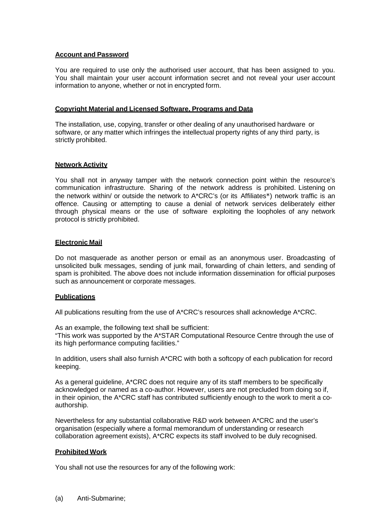## **Account and Password**

You are required to use only the authorised user account, that has been assigned to you. You shall maintain your user account information secret and not reveal your user account information to anyone, whether or not in encrypted form.

## **Copyright Material and Licensed Software, Programs and Data**

The installation, use, copying, transfer or other dealing of any unauthorised hardware or software, or any matter which infringes the intellectual property rights of any third party, is strictly prohibited.

## **Network Activity**

You shall not in anyway tamper with the network connection point within the resource's communication infrastructure. Sharing of the network address is prohibited. Listening on the network within/ or outside the network to A\*CRC's (or its Affiliates\*) network traffic is an offence. Causing or attempting to cause a denial of network services deliberately either through physical means or the use of software exploiting the loopholes of any network protocol is strictly prohibited.

## **Electronic Mail**

Do not masquerade as another person or email as an anonymous user. Broadcasting of unsolicited bulk messages, sending of junk mail, forwarding of chain letters, and sending of spam is prohibited. The above does not include information dissemination for official purposes such as announcement or corporate messages.

#### **Publications**

All publications resulting from the use of A\*CRC's resources shall acknowledge A\*CRC.

As an example, the following text shall be sufficient:

"This work was supported by the A\*STAR Computational Resource Centre through the use of its high performance computing facilities."

In addition, users shall also furnish A\*CRC with both a softcopy of each publication for record keeping.

As a general guideline, A\*CRC does not require any of its staff members to be specifically acknowledged or named as a co-author. However, users are not precluded from doing so if, in their opinion, the A\*CRC staff has contributed sufficiently enough to the work to merit a coauthorship.

Nevertheless for any substantial collaborative R&D work between A\*CRC and the user's organisation (especially where a formal memorandum of understanding or research collaboration agreement exists), A\*CRC expects its staff involved to be duly recognised.

# **Prohibited Work**

You shall not use the resources for any of the following work: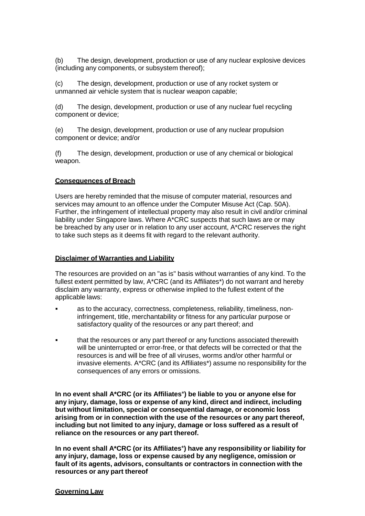(b) The design, development, production or use of any nuclear explosive devices (including any components, or subsystem thereof);

(c) The design, development, production or use of any rocket system or unmanned air vehicle system that is nuclear weapon capable;

(d) The design, development, production or use of any nuclear fuel recycling component or device;

(e) The design, development, production or use of any nuclear propulsion component or device; and/or

(f) The design, development, production or use of any chemical or biological weapon.

# **Consequences of Breach**

Users are hereby reminded that the misuse of computer material, resources and services may amount to an offence under the Computer Misuse Act (Cap. 50A). Further, the infringement of intellectual property may also result in civil and/or criminal liability under Singapore laws. Where A\*CRC suspects that such laws are or may be breached by any user or in relation to any user account, A\*CRC reserves the right to take such steps as it deems fit with regard to the relevant authority.

#### **Disclaimer of Warranties and Liability**

The resources are provided on an "as is" basis without warranties of any kind. To the fullest extent permitted by law, A\*CRC (and its Affiliates\*) do not warrant and hereby disclaim any warranty, express or otherwise implied to the fullest extent of the applicable laws:

- as to the accuracy, correctness, completeness, reliability, timeliness, noninfringement, title, merchantability or fitness for any particular purpose or satisfactory quality of the resources or any part thereof; and
- that the resources or any part thereof or any functions associated therewith will be uninterrupted or error-free, or that defects will be corrected or that the resources is and will be free of all viruses, worms and/or other harmful or invasive elements. A\*CRC (and its Affiliates\*) assume no responsibility for the consequences of any errors or omissions.

**In no event shall A\*CRC (or its Affiliates**\***) be liable to you or anyone else for any injury, damage, loss or expense of any kind, direct and indirect, including but without limitation, special or consequential damage, or economic loss arising from or in connection with the use of the resources or any part thereof, including but not limited to any injury, damage or loss suffered as a result of reliance on the resources or any part thereof.**

**In no event shall A\*CRC (or its Affiliates**\***) have any responsibility or liability for any injury, damage, loss or expense caused by any negligence, omission or fault of its agents, advisors, consultants or contractors in connection with the resources or any part thereof**

#### **Governing Law**